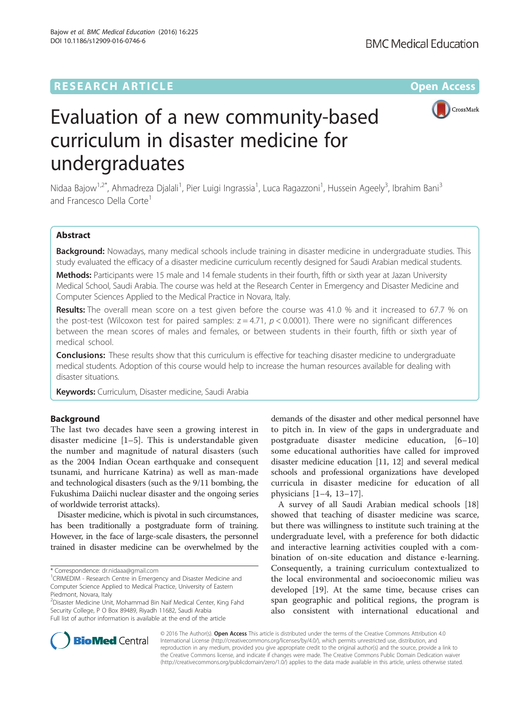DOI 10.1186/s12909-016-0746-6

Bajow et al. BMC Medical Education (2016) 16:225

**RESEARCH ARTICLE External Structure Community Community Community Community Community Community Community Community** 

CrossMark



Nidaa Bajow<sup>1,2\*</sup>, Ahmadreza Djalali<sup>1</sup>, Pier Luigi Ingrassia<sup>1</sup>, Luca Ragazzoni<sup>1</sup>, Hussein Ageely<sup>3</sup>, Ibrahim Bani<sup>3</sup> and Francesco Della Corte<sup>1</sup>

# Abstract

Background: Nowadays, many medical schools include training in disaster medicine in undergraduate studies. This study evaluated the efficacy of a disaster medicine curriculum recently designed for Saudi Arabian medical students.

Methods: Participants were 15 male and 14 female students in their fourth, fifth or sixth year at Jazan University Medical School, Saudi Arabia. The course was held at the Research Center in Emergency and Disaster Medicine and Computer Sciences Applied to the Medical Practice in Novara, Italy.

Results: The overall mean score on a test given before the course was 41.0 % and it increased to 67.7 % on the post-test (Wilcoxon test for paired samples:  $z = 4.71$ ,  $p < 0.0001$ ). There were no significant differences between the mean scores of males and females, or between students in their fourth, fifth or sixth year of medical school.

**Conclusions:** These results show that this curriculum is effective for teaching disaster medicine to undergraduate medical students. Adoption of this course would help to increase the human resources available for dealing with disaster situations.

Keywords: Curriculum, Disaster medicine, Saudi Arabia

## Background

The last two decades have seen a growing interest in disaster medicine [\[1](#page-6-0)–[5](#page-7-0)]. This is understandable given the number and magnitude of natural disasters (such as the 2004 Indian Ocean earthquake and consequent tsunami, and hurricane Katrina) as well as man-made and technological disasters (such as the 9/11 bombing, the Fukushima Daiichi nuclear disaster and the ongoing series of worldwide terrorist attacks).

Disaster medicine, which is pivotal in such circumstances, has been traditionally a postgraduate form of training. However, in the face of large-scale disasters, the personnel trained in disaster medicine can be overwhelmed by the

\* Correspondence: [dr.nidaaa@gmail.com](mailto:dr.nidaaa@gmail.com)

<sup>2</sup>Disaster Medicine Unit, Mohammad Bin Naif Medical Center, King Fahd Security College, P O Box 89489, Riyadh 11682, Saudi Arabia Full list of author information is available at the end of the article

demands of the disaster and other medical personnel have to pitch in. In view of the gaps in undergraduate and postgraduate disaster medicine education, [\[6](#page-7-0)–[10](#page-7-0)] some educational authorities have called for improved disaster medicine education [\[11](#page-7-0), [12\]](#page-7-0) and several medical schools and professional organizations have developed curricula in disaster medicine for education of all physicians [[1](#page-6-0)–[4, 13](#page-7-0)–[17\]](#page-7-0).

A survey of all Saudi Arabian medical schools [[18](#page-7-0)] showed that teaching of disaster medicine was scarce, but there was willingness to institute such training at the undergraduate level, with a preference for both didactic and interactive learning activities coupled with a combination of on-site education and distance e-learning. Consequently, a training curriculum contextualized to the local environmental and socioeconomic milieu was developed [\[19\]](#page-7-0). At the same time, because crises can span geographic and political regions, the program is also consistent with international educational and



© 2016 The Author(s). Open Access This article is distributed under the terms of the Creative Commons Attribution 4.0 International License [\(http://creativecommons.org/licenses/by/4.0/](http://creativecommons.org/licenses/by/4.0/)), which permits unrestricted use, distribution, and reproduction in any medium, provided you give appropriate credit to the original author(s) and the source, provide a link to the Creative Commons license, and indicate if changes were made. The Creative Commons Public Domain Dedication waiver [\(http://creativecommons.org/publicdomain/zero/1.0/](http://creativecommons.org/publicdomain/zero/1.0/)) applies to the data made available in this article, unless otherwise stated.

<sup>&</sup>lt;sup>1</sup> CRIMEDIM - Research Centre in Emergency and Disaster Medicine and Computer Science Applied to Medical Practice, University of Eastern Piedmont, Novara, Italy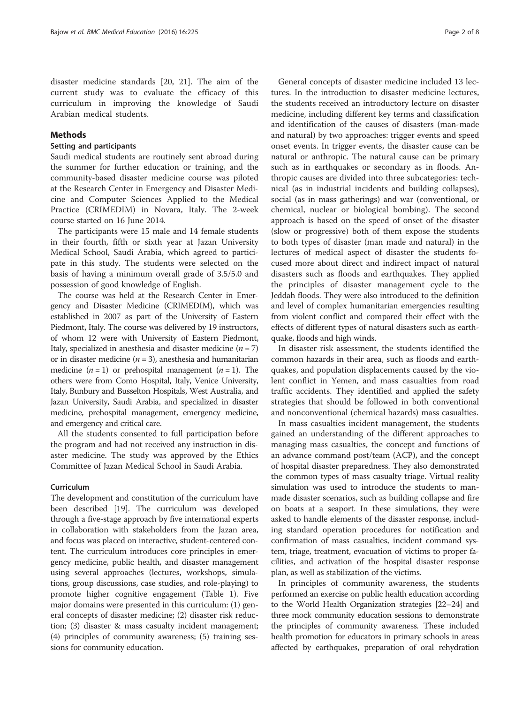disaster medicine standards [[20](#page-7-0), [21\]](#page-7-0). The aim of the current study was to evaluate the efficacy of this curriculum in improving the knowledge of Saudi Arabian medical students.

## Methods

# Setting and participants

Saudi medical students are routinely sent abroad during the summer for further education or training, and the community-based disaster medicine course was piloted at the Research Center in Emergency and Disaster Medicine and Computer Sciences Applied to the Medical Practice (CRIMEDIM) in Novara, Italy. The 2-week course started on 16 June 2014.

The participants were 15 male and 14 female students in their fourth, fifth or sixth year at Jazan University Medical School, Saudi Arabia, which agreed to participate in this study. The students were selected on the basis of having a minimum overall grade of 3.5/5.0 and possession of good knowledge of English.

The course was held at the Research Center in Emergency and Disaster Medicine (CRIMEDIM), which was established in 2007 as part of the University of Eastern Piedmont, Italy. The course was delivered by 19 instructors, of whom 12 were with University of Eastern Piedmont, Italy, specialized in anesthesia and disaster medicine  $(n = 7)$ or in disaster medicine ( $n = 3$ ), anesthesia and humanitarian medicine  $(n = 1)$  or prehospital management  $(n = 1)$ . The others were from Como Hospital, Italy, Venice University, Italy, Bunbury and Busselton Hospitals, West Australia, and Jazan University, Saudi Arabia, and specialized in disaster medicine, prehospital management, emergency medicine, and emergency and critical care.

All the students consented to full participation before the program and had not received any instruction in disaster medicine. The study was approved by the Ethics Committee of Jazan Medical School in Saudi Arabia.

### Curriculum

The development and constitution of the curriculum have been described [\[19\]](#page-7-0). The curriculum was developed through a five-stage approach by five international experts in collaboration with stakeholders from the Jazan area, and focus was placed on interactive, student-centered content. The curriculum introduces core principles in emergency medicine, public health, and disaster management using several approaches (lectures, workshops, simulations, group discussions, case studies, and role-playing) to promote higher cognitive engagement (Table [1\)](#page-2-0). Five major domains were presented in this curriculum: (1) general concepts of disaster medicine; (2) disaster risk reduction; (3) disaster & mass casualty incident management; (4) principles of community awareness; (5) training sessions for community education.

General concepts of disaster medicine included 13 lectures. In the introduction to disaster medicine lectures, the students received an introductory lecture on disaster medicine, including different key terms and classification and identification of the causes of disasters (man-made and natural) by two approaches: trigger events and speed onset events. In trigger events, the disaster cause can be natural or anthropic. The natural cause can be primary such as in earthquakes or secondary as in floods. Anthropic causes are divided into three subcategories: technical (as in industrial incidents and building collapses), social (as in mass gatherings) and war (conventional, or chemical, nuclear or biological bombing). The second approach is based on the speed of onset of the disaster (slow or progressive) both of them expose the students to both types of disaster (man made and natural) in the lectures of medical aspect of disaster the students focused more about direct and indirect impact of natural disasters such as floods and earthquakes. They applied the principles of disaster management cycle to the Jeddah floods. They were also introduced to the definition and level of complex humanitarian emergencies resulting from violent conflict and compared their effect with the effects of different types of natural disasters such as earthquake, floods and high winds.

In disaster risk assessment, the students identified the common hazards in their area, such as floods and earthquakes, and population displacements caused by the violent conflict in Yemen, and mass casualties from road traffic accidents. They identified and applied the safety strategies that should be followed in both conventional and nonconventional (chemical hazards) mass casualties.

In mass casualties incident management, the students gained an understanding of the different approaches to managing mass casualties, the concept and functions of an advance command post/team (ACP), and the concept of hospital disaster preparedness. They also demonstrated the common types of mass casualty triage. Virtual reality simulation was used to introduce the students to manmade disaster scenarios, such as building collapse and fire on boats at a seaport. In these simulations, they were asked to handle elements of the disaster response, including standard operation procedures for notification and confirmation of mass casualties, incident command system, triage, treatment, evacuation of victims to proper facilities, and activation of the hospital disaster response plan, as well as stabilization of the victims.

In principles of community awareness, the students performed an exercise on public health education according to the World Health Organization strategies [\[22](#page-7-0)–[24\]](#page-7-0) and three mock community education sessions to demonstrate the principles of community awareness. These included health promotion for educators in primary schools in areas affected by earthquakes, preparation of oral rehydration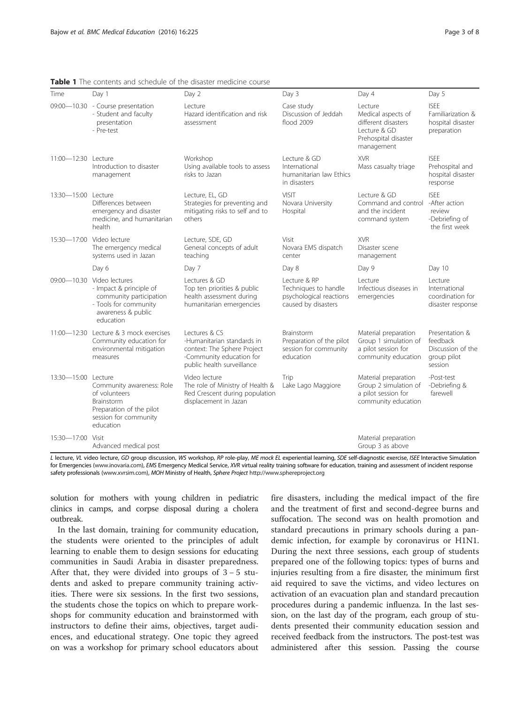$09:00-$ 

09:00-

15:30—17:00 Visit

of volunteers Brainstorm

education

Preparation of the pilot session for community

<span id="page-2-0"></span>

| Time                | Day 1                                                                                                                                        | Day 2                                                                                                                                | Day 3                                                                                  | Day 4                                                                                                      | Day 5                                                                      |
|---------------------|----------------------------------------------------------------------------------------------------------------------------------------------|--------------------------------------------------------------------------------------------------------------------------------------|----------------------------------------------------------------------------------------|------------------------------------------------------------------------------------------------------------|----------------------------------------------------------------------------|
|                     | 09:00-10.30 - Course presentation<br>- Student and faculty<br>presentation<br>- Pre-test                                                     | Lecture<br>Hazard identification and risk<br>assessment                                                                              | Case study<br>Discussion of Jeddah<br>flood 2009                                       | Lecture<br>Medical aspects of<br>different disasters<br>Lecture & GD<br>Prehospital disaster<br>management | <b>ISFF</b><br>Familiarization &<br>hospital disaster<br>preparation       |
| 11:00-12:30 Lecture | Introduction to disaster<br>management                                                                                                       | Workshop<br>Using available tools to assess<br>risks to Jazan                                                                        | Lecture & GD<br>International<br>humanitarian law Ethics<br>in disasters               | <b>XVR</b><br>Mass casualty triage                                                                         | <b>ISEE</b><br>Prehospital and<br>hospital disaster<br>response            |
| 13:30-15:00 Lecture | Differences between<br>emergency and disaster<br>medicine, and humanitarian<br>health                                                        | Lecture, EL, GD<br>Strategies for preventing and<br>mitigating risks to self and to<br>others                                        | <b>VISIT</b><br>Novara University<br>Hospital                                          | Lecture & GD<br>Command and control<br>and the incident<br>command system                                  | <b>ISEE</b><br>-After action<br>review<br>-Debriefing of<br>the first week |
|                     | 15:30-17:00 Video lecture<br>The emergency medical<br>systems used in Jazan                                                                  | Lecture, SDE, GD<br>General concepts of adult<br>teaching                                                                            | Visit<br>Novara EMS dispatch<br>center                                                 | <b>XVR</b><br>Disaster scene<br>management                                                                 |                                                                            |
|                     | Day 6                                                                                                                                        | Day 7                                                                                                                                | Day 8                                                                                  | Day 9                                                                                                      | Day 10                                                                     |
|                     | 09:00-10.30 Video lectures<br>- Impact & principle of<br>community participation<br>- Tools for community<br>awareness & public<br>education | Lectures & GD<br>Top ten priorities & public<br>health assessment during<br>humanitarian emergencies                                 | Lecture & RP<br>Techniques to handle<br>psychological reactions<br>caused by disasters | Lecture<br>Infectious diseases in<br>emergencies                                                           | Lecture<br>International<br>coordination for<br>disaster response          |
|                     | 11:00-12:30 Lecture & 3 mock exercises<br>Community education for<br>environmental mitigation<br>measures                                    | Lectures & CS<br>-Humanitarian standards in<br>context: The Sphere Project<br>-Community education for<br>public health surveillance | <b>Brainstorm</b><br>Preparation of the pilot<br>session for community<br>education    | Material preparation<br>Group 1 simulation of<br>a pilot session for<br>community education                | Presentation &<br>feedback<br>Discussion of the<br>group pilot<br>session  |
| 13:30-15:00         | Lecture<br>Community awareness: Role                                                                                                         | Video lecture<br>The role of Ministry of Health &                                                                                    | Trip<br>Lake Lago Maggiore                                                             | Material preparation<br>Group 2 simulation of                                                              | -Post-test<br>-Debriefing &                                                |

Table 1 The contents and schedule of the disaster medicine course

Advanced medical post Group 3 as above L lecture, VL video lecture, GD group discussion, WS workshop, RP role-play, ME mock EL experiential learning, SDE self-diagnostic exercise, ISEE Interactive Simulation for Emergencies ([www.inovaria.com](http://www.inovaria.com)), EMS Emergency Medical Service, XVR virtual reality training software for education, training and assessment of incident response safety professionals [\(www.xvrsim.com\)](http://www.xvrsim.com), MOH Ministry of Health, Sphere Project <http://www.sphereproject.org>

Red Crescent during population displacement in Jazan

solution for mothers with young children in pediatric clinics in camps, and corpse disposal during a cholera outbreak.

In the last domain, training for community education, the students were oriented to the principles of adult learning to enable them to design sessions for educating communities in Saudi Arabia in disaster preparedness. After that, they were divided into groups of  $3 - 5$  students and asked to prepare community training activities. There were six sessions. In the first two sessions, the students chose the topics on which to prepare workshops for community education and brainstormed with instructors to define their aims, objectives, target audiences, and educational strategy. One topic they agreed on was a workshop for primary school educators about

fire disasters, including the medical impact of the fire and the treatment of first and second-degree burns and suffocation. The second was on health promotion and standard precautions in primary schools during a pandemic infection, for example by coronavirus or H1N1. During the next three sessions, each group of students prepared one of the following topics: types of burns and injuries resulting from a fire disaster, the minimum first aid required to save the victims, and video lectures on activation of an evacuation plan and standard precaution procedures during a pandemic influenza. In the last session, on the last day of the program, each group of students presented their community education session and received feedback from the instructors. The post-test was administered after this session. Passing the course

a pilot session for community education

Material preparation

farewell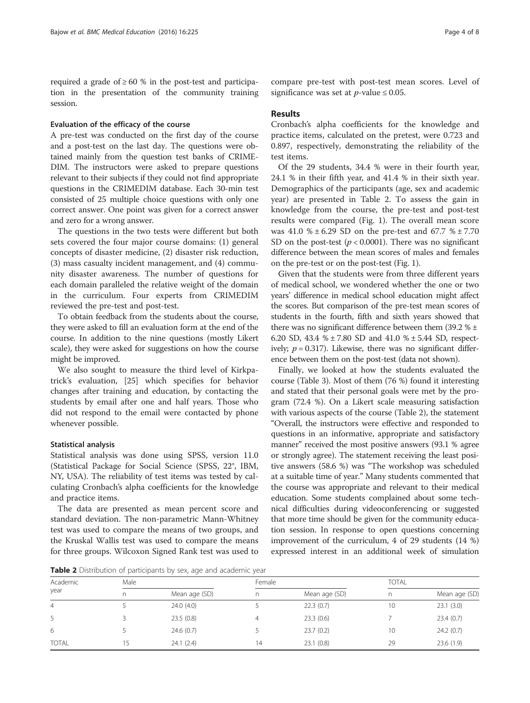required a grade of  $\geq 60$  % in the post-test and participation in the presentation of the community training session.

## Evaluation of the efficacy of the course

A pre-test was conducted on the first day of the course and a post-test on the last day. The questions were obtained mainly from the question test banks of CRIME-DIM. The instructors were asked to prepare questions relevant to their subjects if they could not find appropriate questions in the CRIMEDIM database. Each 30-min test consisted of 25 multiple choice questions with only one correct answer. One point was given for a correct answer and zero for a wrong answer.

The questions in the two tests were different but both sets covered the four major course domains: (1) general concepts of disaster medicine, (2) disaster risk reduction, (3) mass casualty incident management, and (4) community disaster awareness. The number of questions for each domain paralleled the relative weight of the domain in the curriculum. Four experts from CRIMEDIM reviewed the pre-test and post-test.

To obtain feedback from the students about the course, they were asked to fill an evaluation form at the end of the course. In addition to the nine questions (mostly Likert scale), they were asked for suggestions on how the course might be improved.

We also sought to measure the third level of Kirkpatrick's evaluation, [[25](#page-7-0)] which specifies for behavior changes after training and education, by contacting the students by email after one and half years. Those who did not respond to the email were contacted by phone whenever possible.

### Statistical analysis

Statistical analysis was done using SPSS, version 11.0 (Statistical Package for Social Science (SPSS, 22®, IBM, NY, USA). The reliability of test items was tested by calculating Cronbach's alpha coefficients for the knowledge and practice items.

The data are presented as mean percent score and standard deviation. The non-parametric Mann-Whitney test was used to compare the means of two groups, and the Kruskal Wallis test was used to compare the means for three groups. Wilcoxon Signed Rank test was used to

compare pre-test with post-test mean scores. Level of significance was set at *p*-value  $\leq 0.05$ .

## Results

Cronbach's alpha coefficients for the knowledge and practice items, calculated on the pretest, were 0.723 and 0.897, respectively, demonstrating the reliability of the test items.

Of the 29 students, 34.4 % were in their fourth year, 24.1 % in their fifth year, and 41.4 % in their sixth year. Demographics of the participants (age, sex and academic year) are presented in Table 2. To assess the gain in knowledge from the course, the pre-test and post-test results were compared (Fig. [1](#page-4-0)). The overall mean score was 41.0  $% \pm 6.29$  SD on the pre-test and 67.7  $% \pm 7.70$ SD on the post-test ( $p < 0.0001$ ). There was no significant difference between the mean scores of males and females on the pre-test or on the post-test (Fig. [1\)](#page-4-0).

Given that the students were from three different years of medical school, we wondered whether the one or two years' difference in medical school education might affect the scores. But comparison of the pre-test mean scores of students in the fourth, fifth and sixth years showed that there was no significant difference between them (39.2  $% \pm$ 6.20 SD, 43.4 % ± 7.80 SD and 41.0 % ± 5.44 SD, respectively;  $p = 0.317$ ). Likewise, there was no significant difference between them on the post-test (data not shown).

Finally, we looked at how the students evaluated the course (Table [3](#page-4-0)). Most of them (76 %) found it interesting and stated that their personal goals were met by the program (72.4 %). On a Likert scale measuring satisfaction with various aspects of the course (Table 2), the statement "Overall, the instructors were effective and responded to questions in an informative, appropriate and satisfactory manner" received the most positive answers (93.1 % agree or strongly agree). The statement receiving the least positive answers (58.6 %) was "The workshop was scheduled at a suitable time of year." Many students commented that the course was appropriate and relevant to their medical education. Some students complained about some technical difficulties during videoconferencing or suggested that more time should be given for the community education session. In response to open questions concerning improvement of the curriculum, 4 of 29 students (14 %) expressed interest in an additional week of simulation

Table 2 Distribution of participants by sex, age and academic year

| Academic       | Male |               | Female |               | <b>TOTAL</b>    |               |
|----------------|------|---------------|--------|---------------|-----------------|---------------|
| year           | n.   | Mean age (SD) |        | Mean age (SD) |                 | Mean age (SD) |
| $\overline{4}$ |      | 24.0(4.0)     |        | 22.3(0.7)     | 10 <sup>°</sup> | 23.1(3.0)     |
| .5             |      | 23.5(0.8)     | 4      | 23.3(0.6)     |                 | 23.4(0.7)     |
| 6              |      | 24.6(0.7)     |        | 23.7(0.2)     | 10              | 24.2(0.7)     |
| <b>TOTAL</b>   | 15   | 24.1(2.4)     | 14     | 23.1(0.8)     | 29              | 23.6(1.9)     |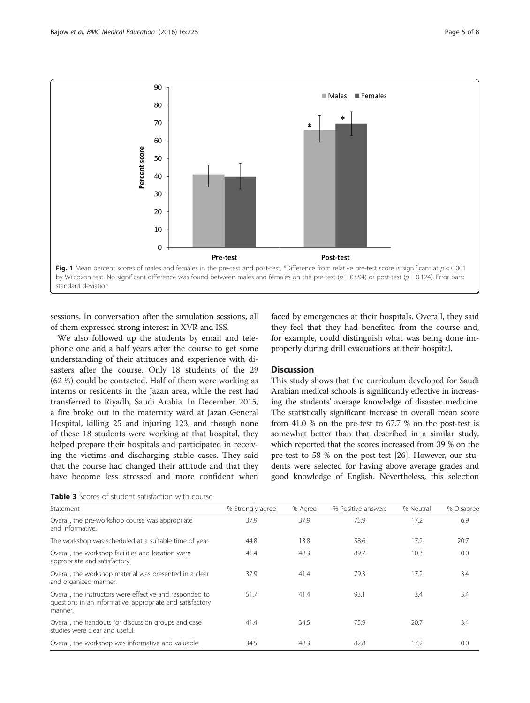<span id="page-4-0"></span>

sessions. In conversation after the simulation sessions, all of them expressed strong interest in XVR and ISS.

We also followed up the students by email and telephone one and a half years after the course to get some understanding of their attitudes and experience with disasters after the course. Only 18 students of the 29 (62 %) could be contacted. Half of them were working as interns or residents in the Jazan area, while the rest had transferred to Riyadh, Saudi Arabia. In December 2015, a fire broke out in the maternity ward at Jazan General Hospital, killing 25 and injuring 123, and though none of these 18 students were working at that hospital, they helped prepare their hospitals and participated in receiving the victims and discharging stable cases. They said that the course had changed their attitude and that they have become less stressed and more confident when faced by emergencies at their hospitals. Overall, they said they feel that they had benefited from the course and, for example, could distinguish what was being done improperly during drill evacuations at their hospital.

## **Discussion**

This study shows that the curriculum developed for Saudi Arabian medical schools is significantly effective in increasing the students' average knowledge of disaster medicine. The statistically significant increase in overall mean score from 41.0 % on the pre-test to 67.7 % on the post-test is somewhat better than that described in a similar study, which reported that the scores increased from 39 % on the pre-test to 58 % on the post-test [\[26\]](#page-7-0). However, our students were selected for having above average grades and good knowledge of English. Nevertheless, this selection

| <b>Table 3</b> Scores of student satisfaction with course |  |  |  |  |  |  |  |
|-----------------------------------------------------------|--|--|--|--|--|--|--|
|-----------------------------------------------------------|--|--|--|--|--|--|--|

| Statement                                                                                                                        | % Strongly agree | % Agree | % Positive answers | % Neutral | % Disagree |
|----------------------------------------------------------------------------------------------------------------------------------|------------------|---------|--------------------|-----------|------------|
| Overall, the pre-workshop course was appropriate<br>and informative.                                                             | 37.9             | 37.9    | 75.9               | 17.2      | 6.9        |
| The workshop was scheduled at a suitable time of year.                                                                           | 44.8             | 13.8    | 58.6               | 17.2      | 20.7       |
| Overall, the workshop facilities and location were<br>appropriate and satisfactory.                                              | 41.4             | 48.3    | 89.7               | 10.3      | 0.0        |
| Overall, the workshop material was presented in a clear<br>and organized manner.                                                 | 37.9             | 41.4    | 79.3               | 17.2      | 3.4        |
| Overall, the instructors were effective and responded to<br>questions in an informative, appropriate and satisfactory<br>manner. | 51.7             | 41.4    | 93.1               | 3.4       | 3.4        |
| Overall, the handouts for discussion groups and case<br>studies were clear and useful.                                           | 41.4             | 34.5    | 75.9               | 20.7      | 3.4        |
| Overall, the workshop was informative and valuable.                                                                              | 34.5             | 48.3    | 82.8               | 17.2      | 0.0        |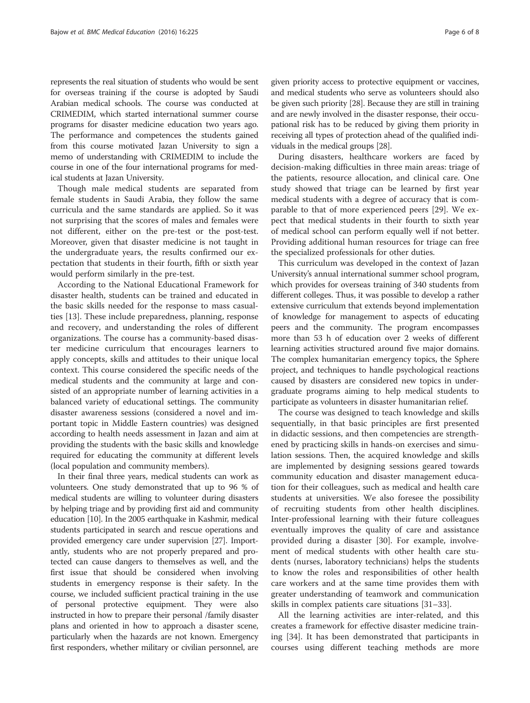represents the real situation of students who would be sent for overseas training if the course is adopted by Saudi Arabian medical schools. The course was conducted at CRIMEDIM, which started international summer course programs for disaster medicine education two years ago. The performance and competences the students gained from this course motivated Jazan University to sign a memo of understanding with CRIMEDIM to include the course in one of the four international programs for medical students at Jazan University.

Though male medical students are separated from female students in Saudi Arabia, they follow the same curricula and the same standards are applied. So it was not surprising that the scores of males and females were not different, either on the pre-test or the post-test. Moreover, given that disaster medicine is not taught in the undergraduate years, the results confirmed our expectation that students in their fourth, fifth or sixth year would perform similarly in the pre-test.

According to the National Educational Framework for disaster health, students can be trained and educated in the basic skills needed for the response to mass casualties [[13\]](#page-7-0). These include preparedness, planning, response and recovery, and understanding the roles of different organizations. The course has a community-based disaster medicine curriculum that encourages learners to apply concepts, skills and attitudes to their unique local context. This course considered the specific needs of the medical students and the community at large and consisted of an appropriate number of learning activities in a balanced variety of educational settings. The community disaster awareness sessions (considered a novel and important topic in Middle Eastern countries) was designed according to health needs assessment in Jazan and aim at providing the students with the basic skills and knowledge required for educating the community at different levels (local population and community members).

In their final three years, medical students can work as volunteers. One study demonstrated that up to 96 % of medical students are willing to volunteer during disasters by helping triage and by providing first aid and community education [\[10](#page-7-0)]. In the 2005 earthquake in Kashmir, medical students participated in search and rescue operations and provided emergency care under supervision [\[27\]](#page-7-0). Importantly, students who are not properly prepared and protected can cause dangers to themselves as well, and the first issue that should be considered when involving students in emergency response is their safety. In the course, we included sufficient practical training in the use of personal protective equipment. They were also instructed in how to prepare their personal /family disaster plans and oriented in how to approach a disaster scene, particularly when the hazards are not known. Emergency first responders, whether military or civilian personnel, are given priority access to protective equipment or vaccines, and medical students who serve as volunteers should also be given such priority [[28](#page-7-0)]. Because they are still in training and are newly involved in the disaster response, their occupational risk has to be reduced by giving them priority in receiving all types of protection ahead of the qualified individuals in the medical groups [\[28](#page-7-0)].

During disasters, healthcare workers are faced by decision-making difficulties in three main areas: triage of the patients, resource allocation, and clinical care. One study showed that triage can be learned by first year medical students with a degree of accuracy that is comparable to that of more experienced peers [[29](#page-7-0)]. We expect that medical students in their fourth to sixth year of medical school can perform equally well if not better. Providing additional human resources for triage can free the specialized professionals for other duties.

This curriculum was developed in the context of Jazan University's annual international summer school program, which provides for overseas training of 340 students from different colleges. Thus, it was possible to develop a rather extensive curriculum that extends beyond implementation of knowledge for management to aspects of educating peers and the community. The program encompasses more than 53 h of education over 2 weeks of different learning activities structured around five major domains. The complex humanitarian emergency topics, the Sphere project, and techniques to handle psychological reactions caused by disasters are considered new topics in undergraduate programs aiming to help medical students to participate as volunteers in disaster humanitarian relief.

The course was designed to teach knowledge and skills sequentially, in that basic principles are first presented in didactic sessions, and then competencies are strengthened by practicing skills in hands-on exercises and simulation sessions. Then, the acquired knowledge and skills are implemented by designing sessions geared towards community education and disaster management education for their colleagues, such as medical and health care students at universities. We also foresee the possibility of recruiting students from other health disciplines. Inter-professional learning with their future colleagues eventually improves the quality of care and assistance provided during a disaster [[30\]](#page-7-0). For example, involvement of medical students with other health care students (nurses, laboratory technicians) helps the students to know the roles and responsibilities of other health care workers and at the same time provides them with greater understanding of teamwork and communication skills in complex patients care situations [[31](#page-7-0)–[33](#page-7-0)].

All the learning activities are inter-related, and this creates a framework for effective disaster medicine training [[34\]](#page-7-0). It has been demonstrated that participants in courses using different teaching methods are more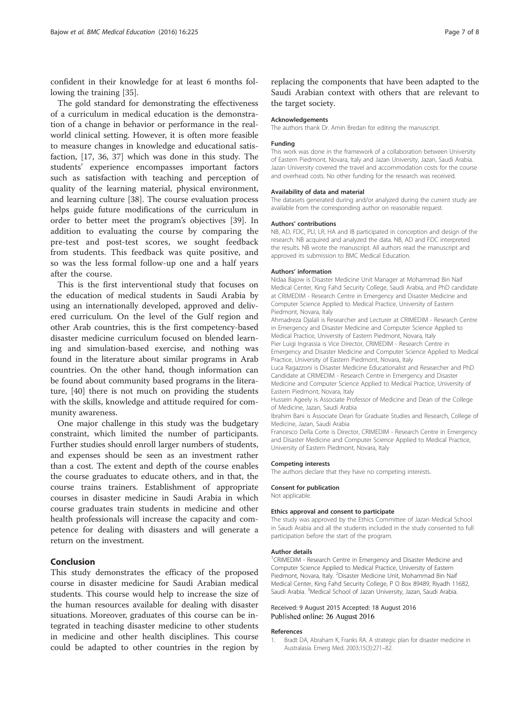<span id="page-6-0"></span>confident in their knowledge for at least 6 months following the training [[35](#page-7-0)].

The gold standard for demonstrating the effectiveness of a curriculum in medical education is the demonstration of a change in behavior or performance in the realworld clinical setting. However, it is often more feasible to measure changes in knowledge and educational satisfaction, [\[17, 36, 37\]](#page-7-0) which was done in this study. The students' experience encompasses important factors such as satisfaction with teaching and perception of quality of the learning material, physical environment, and learning culture [[38\]](#page-7-0). The course evaluation process helps guide future modifications of the curriculum in order to better meet the program's objectives [[39\]](#page-7-0). In addition to evaluating the course by comparing the pre-test and post-test scores, we sought feedback from students. This feedback was quite positive, and so was the less formal follow-up one and a half years after the course.

This is the first interventional study that focuses on the education of medical students in Saudi Arabia by using an internationally developed, approved and delivered curriculum. On the level of the Gulf region and other Arab countries, this is the first competency-based disaster medicine curriculum focused on blended learning and simulation-based exercise, and nothing was found in the literature about similar programs in Arab countries. On the other hand, though information can be found about community based programs in the literature, [[40\]](#page-7-0) there is not much on providing the students with the skills, knowledge and attitude required for community awareness.

One major challenge in this study was the budgetary constraint, which limited the number of participants. Further studies should enroll larger numbers of students, and expenses should be seen as an investment rather than a cost. The extent and depth of the course enables the course graduates to educate others, and in that, the course trains trainers. Establishment of appropriate courses in disaster medicine in Saudi Arabia in which course graduates train students in medicine and other health professionals will increase the capacity and competence for dealing with disasters and will generate a return on the investment.

## Conclusion

This study demonstrates the efficacy of the proposed course in disaster medicine for Saudi Arabian medical students. This course would help to increase the size of the human resources available for dealing with disaster situations. Moreover, graduates of this course can be integrated in teaching disaster medicine to other students in medicine and other health disciplines. This course could be adapted to other countries in the region by

replacing the components that have been adapted to the Saudi Arabian context with others that are relevant to the target society.

### Acknowledgements

The authors thank Dr. Amin Bredan for editing the manuscript.

#### Funding

This work was done in the framework of a collaboration between University of Eastern Piedmont, Novara, Italy and Jazan University, Jazan, Saudi Arabia. Jazan University covered the travel and accommodation costs for the course and overhead costs. No other funding for the research was received.

### Availability of data and material

The datasets generated during and/or analyzed during the current study are available from the corresponding author on reasonable request.

#### Authors' contributions

NB, AD, FDC, PLI, LR, HA and IB participated in conception and design of the research. NB acquired and analyzed the data. NB, AD and FDC interpreted the results. NB wrote the manuscript. All authors read the manuscript and approved its submission to BMC Medical Education.

#### Authors' information

Nidaa Bajow is Disaster Medicine Unit Manager at Mohammad Bin Naif Medical Center, King Fahd Security College, Saudi Arabia, and PhD candidate at CRIMEDIM - Research Centre in Emergency and Disaster Medicine and Computer Science Applied to Medical Practice, University of Eastern Piedmont, Novara, Italy

Ahmadreza Djalali is Researcher and Lecturer at CRIMEDIM - Research Centre in Emergency and Disaster Medicine and Computer Science Applied to Medical Practice, University of Eastern Piedmont, Novara, Italy Pier Luigi Ingrassia is Vice Director, CRIMEDIM - Research Centre in

Emergency and Disaster Medicine and Computer Science Applied to Medical Practice, University of Eastern Piedmont, Novara, Italy

Luca Ragazzoni is Disaster Medicine Educationalist and Researcher and PhD Candidate at CRIMEDIM - Research Centre in Emergency and Disaster Medicine and Computer Science Applied to Medical Practice, University of Eastern Piedmont, Novara, Italy

Hussein Ageely is Associate Professor of Medicine and Dean of the College of Medicine, Jazan, Saudi Arabia

Ibrahim Bani is Associate Dean for Graduate Studies and Research, College of Medicine, Jazan, Saudi Arabia

Francesco Della Corte is Director, CRIMEDIM - Research Centre in Emergency and Disaster Medicine and Computer Science Applied to Medical Practice, University of Eastern Piedmont, Novara, Italy

### Competing interests

The authors declare that they have no competing interests.

#### Consent for publication

Not applicable.

#### Ethics approval and consent to participate

The study was approved by the Ethics Committee of Jazan Medical School in Saudi Arabia and all the students included in the study consented to full participation before the start of the program.

### Author details

<sup>1</sup> CRIMEDIM - Research Centre in Emergency and Disaster Medicine and Computer Science Applied to Medical Practice, University of Eastern Piedmont, Novara, Italy. <sup>2</sup>Disaster Medicine Unit, Mohammad Bin Naif Medical Center, King Fahd Security College, P O Box 89489, Riyadh 11682, Saudi Arabia. <sup>3</sup>Medical School of Jazan University, Jazan, Saudi Arabia.

### Received: 9 August 2015 Accepted: 18 August 2016 Published online: 26 August 2016

#### References

1. Bradt DA, Abraham K, Franks RA. A strategic plan for disaster medicine in Australasia. Emerg Med. 2003;15(3):271–82.